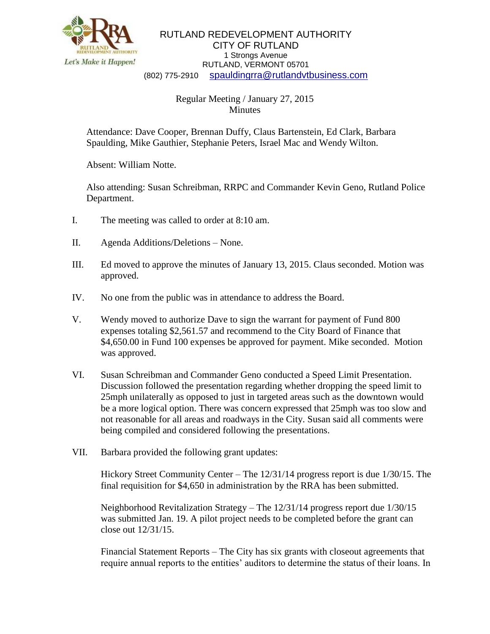

RUTLAND REDEVELOPMENT AUTHORITY CITY OF RUTLAND 1 Strongs Avenue RUTLAND, VERMONT 05701 (802) 775-2910 [spauldingrra@rutlandvtbusiness.com](mailto:allenrra@rutlandvtbusiness.com)

## Regular Meeting / January 27, 2015 **Minutes**

Attendance: Dave Cooper, Brennan Duffy, Claus Bartenstein, Ed Clark, Barbara Spaulding, Mike Gauthier, Stephanie Peters, Israel Mac and Wendy Wilton.

Absent: William Notte.

Also attending: Susan Schreibman, RRPC and Commander Kevin Geno, Rutland Police Department.

- I. The meeting was called to order at 8:10 am.
- II. Agenda Additions/Deletions None.
- III. Ed moved to approve the minutes of January 13, 2015. Claus seconded. Motion was approved.
- IV. No one from the public was in attendance to address the Board.
- V. Wendy moved to authorize Dave to sign the warrant for payment of Fund 800 expenses totaling \$2,561.57 and recommend to the City Board of Finance that \$4,650.00 in Fund 100 expenses be approved for payment. Mike seconded. Motion was approved.
- VI. Susan Schreibman and Commander Geno conducted a Speed Limit Presentation. Discussion followed the presentation regarding whether dropping the speed limit to 25mph unilaterally as opposed to just in targeted areas such as the downtown would be a more logical option. There was concern expressed that 25mph was too slow and not reasonable for all areas and roadways in the City. Susan said all comments were being compiled and considered following the presentations.
- VII. Barbara provided the following grant updates:

Hickory Street Community Center – The 12/31/14 progress report is due 1/30/15. The final requisition for \$4,650 in administration by the RRA has been submitted.

Neighborhood Revitalization Strategy – The 12/31/14 progress report due 1/30/15 was submitted Jan. 19. A pilot project needs to be completed before the grant can close out 12/31/15.

Financial Statement Reports – The City has six grants with closeout agreements that require annual reports to the entities' auditors to determine the status of their loans. In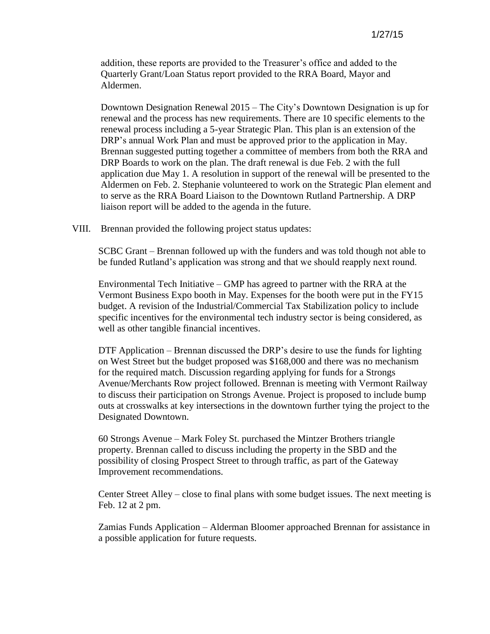addition, these reports are provided to the Treasurer's office and added to the Quarterly Grant/Loan Status report provided to the RRA Board, Mayor and Aldermen.

Downtown Designation Renewal 2015 – The City's Downtown Designation is up for renewal and the process has new requirements. There are 10 specific elements to the renewal process including a 5-year Strategic Plan. This plan is an extension of the DRP's annual Work Plan and must be approved prior to the application in May. Brennan suggested putting together a committee of members from both the RRA and DRP Boards to work on the plan. The draft renewal is due Feb. 2 with the full application due May 1. A resolution in support of the renewal will be presented to the Aldermen on Feb. 2. Stephanie volunteered to work on the Strategic Plan element and to serve as the RRA Board Liaison to the Downtown Rutland Partnership. A DRP liaison report will be added to the agenda in the future.

VIII. Brennan provided the following project status updates:

SCBC Grant – Brennan followed up with the funders and was told though not able to be funded Rutland's application was strong and that we should reapply next round.

Environmental Tech Initiative – GMP has agreed to partner with the RRA at the Vermont Business Expo booth in May. Expenses for the booth were put in the FY15 budget. A revision of the Industrial/Commercial Tax Stabilization policy to include specific incentives for the environmental tech industry sector is being considered, as well as other tangible financial incentives.

DTF Application – Brennan discussed the DRP's desire to use the funds for lighting on West Street but the budget proposed was \$168,000 and there was no mechanism for the required match. Discussion regarding applying for funds for a Strongs Avenue/Merchants Row project followed. Brennan is meeting with Vermont Railway to discuss their participation on Strongs Avenue. Project is proposed to include bump outs at crosswalks at key intersections in the downtown further tying the project to the Designated Downtown.

60 Strongs Avenue – Mark Foley St. purchased the Mintzer Brothers triangle property. Brennan called to discuss including the property in the SBD and the possibility of closing Prospect Street to through traffic, as part of the Gateway Improvement recommendations.

Center Street Alley – close to final plans with some budget issues. The next meeting is Feb. 12 at 2 pm.

Zamias Funds Application – Alderman Bloomer approached Brennan for assistance in a possible application for future requests.